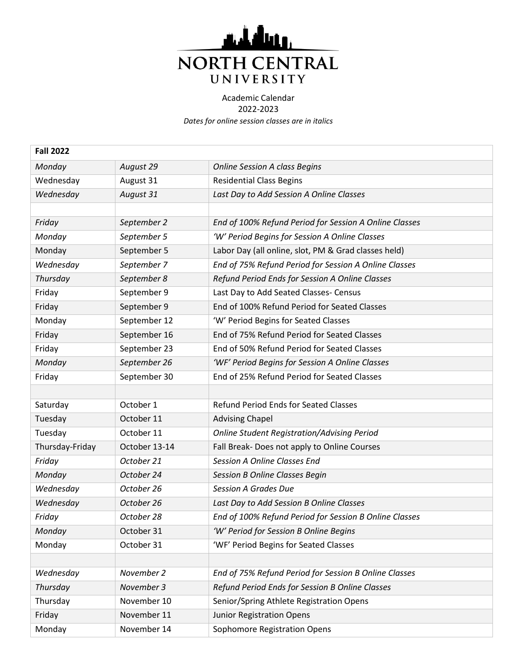

| <b>Fall 2022</b> |               |                                                        |
|------------------|---------------|--------------------------------------------------------|
| Monday           | August 29     | <b>Online Session A class Begins</b>                   |
| Wednesday        | August 31     | <b>Residential Class Begins</b>                        |
| Wednesday        | August 31     | Last Day to Add Session A Online Classes               |
|                  |               |                                                        |
| Friday           | September 2   | End of 100% Refund Period for Session A Online Classes |
| Monday           | September 5   | 'W' Period Begins for Session A Online Classes         |
| Monday           | September 5   | Labor Day (all online, slot, PM & Grad classes held)   |
| Wednesday        | September 7   | End of 75% Refund Period for Session A Online Classes  |
| Thursday         | September 8   | Refund Period Ends for Session A Online Classes        |
| Friday           | September 9   | Last Day to Add Seated Classes- Census                 |
| Friday           | September 9   | End of 100% Refund Period for Seated Classes           |
| Monday           | September 12  | 'W' Period Begins for Seated Classes                   |
| Friday           | September 16  | End of 75% Refund Period for Seated Classes            |
| Friday           | September 23  | End of 50% Refund Period for Seated Classes            |
| Monday           | September 26  | 'WF' Period Begins for Session A Online Classes        |
| Friday           | September 30  | End of 25% Refund Period for Seated Classes            |
|                  |               |                                                        |
| Saturday         | October 1     | <b>Refund Period Ends for Seated Classes</b>           |
| Tuesday          | October 11    | <b>Advising Chapel</b>                                 |
| Tuesday          | October 11    | <b>Online Student Registration/Advising Period</b>     |
| Thursday-Friday  | October 13-14 | Fall Break- Does not apply to Online Courses           |
| Friday           | October 21    | <b>Session A Online Classes End</b>                    |
| Monday           | October 24    | <b>Session B Online Classes Begin</b>                  |
| Wednesday        | October 26    | <b>Session A Grades Due</b>                            |
| Wednesday        | October 26    | Last Day to Add Session B Online Classes               |
| Friday           | October 28    | End of 100% Refund Period for Session B Online Classes |
| Monday           | October 31    | 'W' Period for Session B Online Begins                 |
| Monday           | October 31    | 'WF' Period Begins for Seated Classes                  |
|                  |               |                                                        |
| Wednesday        | November 2    | End of 75% Refund Period for Session B Online Classes  |
| Thursday         | November 3    | Refund Period Ends for Session B Online Classes        |
| Thursday         | November 10   | Senior/Spring Athlete Registration Opens               |
| Friday           | November 11   | <b>Junior Registration Opens</b>                       |
| Monday           | November 14   | Sophomore Registration Opens                           |
|                  |               |                                                        |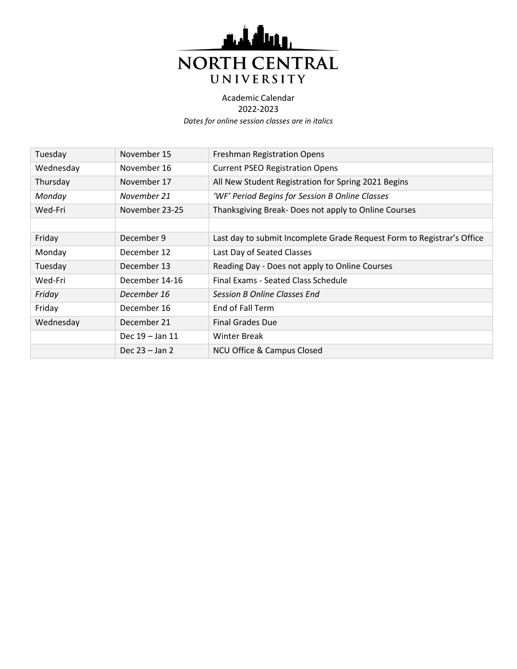

| Tuesday   | November 15         | Freshman Registration Opens                                            |
|-----------|---------------------|------------------------------------------------------------------------|
| Wednesday | November 16         | <b>Current PSEO Registration Opens</b>                                 |
| Thursday  | November 17         | All New Student Registration for Spring 2021 Begins                    |
| Monday    | November 21         | 'WF' Period Begins for Session B Online Classes                        |
| Wed-Fri   | November 23-25      | Thanksgiving Break-Does not apply to Online Courses                    |
|           |                     |                                                                        |
| Friday    | December 9          | Last day to submit Incomplete Grade Request Form to Registrar's Office |
| Monday    | December 12         | Last Day of Seated Classes                                             |
| Tuesday   | December 13         | Reading Day - Does not apply to Online Courses                         |
| Wed-Fri   | December 14-16      | Final Exams - Seated Class Schedule                                    |
| Friday    | December 16         | <b>Session B Online Classes End</b>                                    |
| Friday    | December 16         | End of Fall Term                                                       |
| Wednesday | December 21         | <b>Final Grades Due</b>                                                |
|           | Dec $19 -$ Jan $11$ | Winter Break                                                           |
|           | Dec $23 -$ Jan 2    | <b>NCU Office &amp; Campus Closed</b>                                  |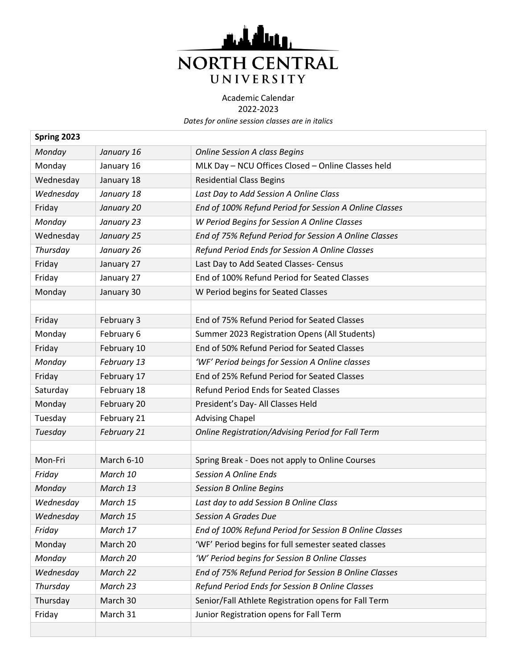

| Spring 2023 |             |                                                          |
|-------------|-------------|----------------------------------------------------------|
| Monday      | January 16  | <b>Online Session A class Begins</b>                     |
| Monday      | January 16  | MLK Day - NCU Offices Closed - Online Classes held       |
| Wednesday   | January 18  | <b>Residential Class Begins</b>                          |
| Wednesday   | January 18  | Last Day to Add Session A Online Class                   |
| Friday      | January 20  | End of 100% Refund Period for Session A Online Classes   |
| Monday      | January 23  | W Period Begins for Session A Online Classes             |
| Wednesday   | January 25  | End of 75% Refund Period for Session A Online Classes    |
| Thursday    | January 26  | Refund Period Ends for Session A Online Classes          |
| Friday      | January 27  | Last Day to Add Seated Classes- Census                   |
| Friday      | January 27  | End of 100% Refund Period for Seated Classes             |
| Monday      | January 30  | W Period begins for Seated Classes                       |
|             |             |                                                          |
| Friday      | February 3  | End of 75% Refund Period for Seated Classes              |
| Monday      | February 6  | Summer 2023 Registration Opens (All Students)            |
| Friday      | February 10 | End of 50% Refund Period for Seated Classes              |
| Monday      | February 13 | 'WF' Period beings for Session A Online classes          |
| Friday      | February 17 | End of 25% Refund Period for Seated Classes              |
| Saturday    | February 18 | <b>Refund Period Ends for Seated Classes</b>             |
| Monday      | February 20 | President's Day- All Classes Held                        |
| Tuesday     | February 21 | <b>Advising Chapel</b>                                   |
| Tuesday     | February 21 | <b>Online Registration/Advising Period for Fall Term</b> |
|             |             |                                                          |
| Mon-Fri     | March 6-10  | Spring Break - Does not apply to Online Courses          |
| Friday      | March 10    | <b>Session A Online Ends</b>                             |
| Monday      | March 13    | <b>Session B Online Begins</b>                           |
| Wednesday   | March 15    | Last day to add Session B Online Class                   |
| Wednesday   | March 15    | <b>Session A Grades Due</b>                              |
| Friday      | March 17    | End of 100% Refund Period for Session B Online Classes   |
| Monday      | March 20    | 'WF' Period begins for full semester seated classes      |
| Monday      | March 20    | 'W' Period begins for Session B Online Classes           |
| Wednesday   | March 22    | End of 75% Refund Period for Session B Online Classes    |
| Thursday    | March 23    | Refund Period Ends for Session B Online Classes          |
| Thursday    | March 30    | Senior/Fall Athlete Registration opens for Fall Term     |
| Friday      | March 31    | Junior Registration opens for Fall Term                  |
|             |             |                                                          |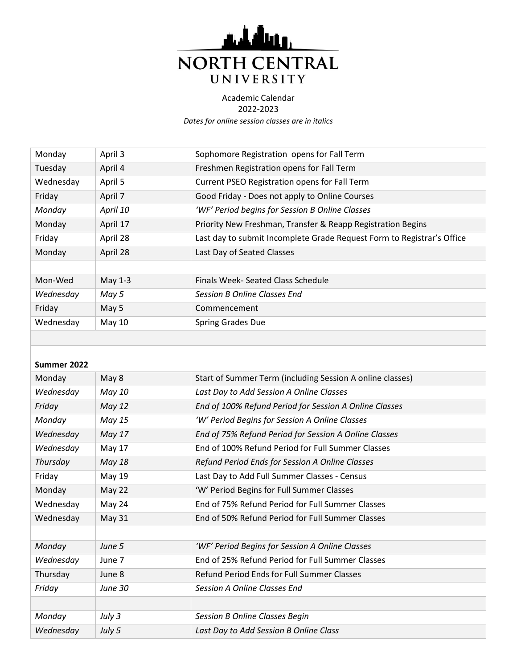

*Dates for online session classes are in italics*

| Monday    | April 3  | Sophomore Registration opens for Fall Term                             |
|-----------|----------|------------------------------------------------------------------------|
| Tuesday   | April 4  | Freshmen Registration opens for Fall Term                              |
| Wednesday | April 5  | Current PSEO Registration opens for Fall Term                          |
| Friday    | April 7  | Good Friday - Does not apply to Online Courses                         |
| Monday    | April 10 | 'WF' Period begins for Session B Online Classes                        |
| Monday    | April 17 | Priority New Freshman, Transfer & Reapp Registration Begins            |
| Friday    | April 28 | Last day to submit Incomplete Grade Request Form to Registrar's Office |
| Monday    | April 28 | Last Day of Seated Classes                                             |
|           |          |                                                                        |
| Mon-Wed   | May 1-3  | Finals Week- Seated Class Schedule                                     |
| Wednesday | May 5    | <b>Session B Online Classes End</b>                                    |
| Friday    | May 5    | Commencement                                                           |
| Wednesday | May $10$ | <b>Spring Grades Due</b>                                               |
|           |          |                                                                        |

## **Summer 2022**

| Monday    | May 8          | Start of Summer Term (including Session A online classes) |
|-----------|----------------|-----------------------------------------------------------|
| Wednesday | May 10         | Last Day to Add Session A Online Classes                  |
| Friday    | <b>May 12</b>  | End of 100% Refund Period for Session A Online Classes    |
| Monday    | May 15         | 'W' Period Begins for Session A Online Classes            |
| Wednesday | May 17         | End of 75% Refund Period for Session A Online Classes     |
| Wednesday | May 17         | End of 100% Refund Period for Full Summer Classes         |
| Thursday  | <b>May 18</b>  | Refund Period Ends for Session A Online Classes           |
| Friday    | May 19         | Last Day to Add Full Summer Classes - Census              |
| Monday    | May 22         | 'W' Period Begins for Full Summer Classes                 |
| Wednesday | May 24         | End of 75% Refund Period for Full Summer Classes          |
| Wednesday | <b>May 31</b>  | End of 50% Refund Period for Full Summer Classes          |
|           |                |                                                           |
| Monday    | June 5         | 'WF' Period Begins for Session A Online Classes           |
| Wednesday | June 7         | End of 25% Refund Period for Full Summer Classes          |
| Thursday  | June 8         | Refund Period Ends for Full Summer Classes                |
| Friday    | <b>June 30</b> | Session A Online Classes End                              |
|           |                |                                                           |
| Monday    | July 3         | Session B Online Classes Begin                            |
| Wednesday | July 5         | Last Day to Add Session B Online Class                    |